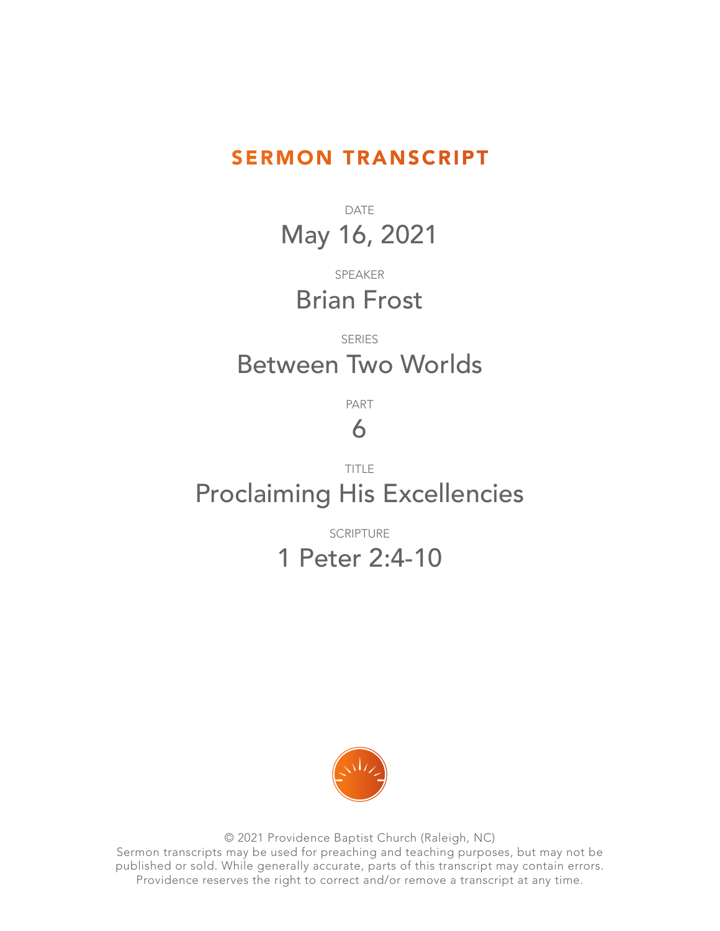#### SERMON TRANSCRIPT

DATE May 16, 2021

SPEAKER Brian Frost

### SERIES Between Two Worlds

PART

## 6

### TITLE Proclaiming His Excellencies

SCRIPTURE

# 1 Peter 2:4-10



© 2021 Providence Baptist Church (Raleigh, NC) Sermon transcripts may be used for preaching and teaching purposes, but may not be published or sold. While generally accurate, parts of this transcript may contain errors. Providence reserves the right to correct and/or remove a transcript at any time.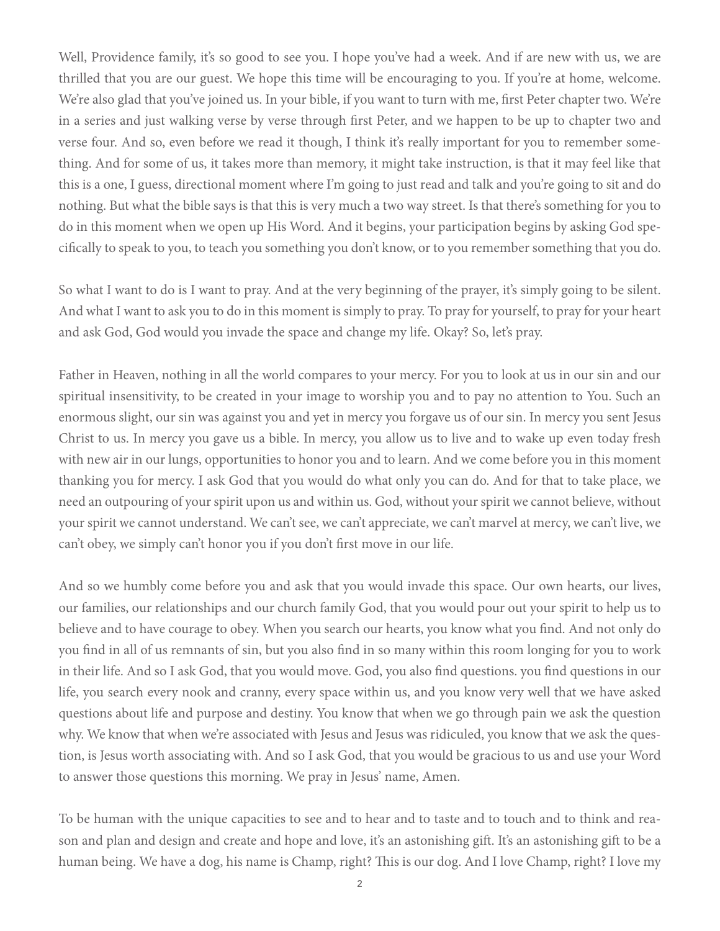Well, Providence family, it's so good to see you. I hope you've had a week. And if are new with us, we are thrilled that you are our guest. We hope this time will be encouraging to you. If you're at home, welcome. We're also glad that you've joined us. In your bible, if you want to turn with me, first Peter chapter two. We're in a series and just walking verse by verse through first Peter, and we happen to be up to chapter two and verse four. And so, even before we read it though, I think it's really important for you to remember something. And for some of us, it takes more than memory, it might take instruction, is that it may feel like that this is a one, I guess, directional moment where I'm going to just read and talk and you're going to sit and do nothing. But what the bible says is that this is very much a two way street. Is that there's something for you to do in this moment when we open up His Word. And it begins, your participation begins by asking God specifically to speak to you, to teach you something you don't know, or to you remember something that you do.

So what I want to do is I want to pray. And at the very beginning of the prayer, it's simply going to be silent. And what I want to ask you to do in this moment is simply to pray. To pray for yourself, to pray for your heart and ask God, God would you invade the space and change my life. Okay? So, let's pray.

Father in Heaven, nothing in all the world compares to your mercy. For you to look at us in our sin and our spiritual insensitivity, to be created in your image to worship you and to pay no attention to You. Such an enormous slight, our sin was against you and yet in mercy you forgave us of our sin. In mercy you sent Jesus Christ to us. In mercy you gave us a bible. In mercy, you allow us to live and to wake up even today fresh with new air in our lungs, opportunities to honor you and to learn. And we come before you in this moment thanking you for mercy. I ask God that you would do what only you can do. And for that to take place, we need an outpouring of your spirit upon us and within us. God, without your spirit we cannot believe, without your spirit we cannot understand. We can't see, we can't appreciate, we can't marvel at mercy, we can't live, we can't obey, we simply can't honor you if you don't first move in our life.

And so we humbly come before you and ask that you would invade this space. Our own hearts, our lives, our families, our relationships and our church family God, that you would pour out your spirit to help us to believe and to have courage to obey. When you search our hearts, you know what you find. And not only do you find in all of us remnants of sin, but you also find in so many within this room longing for you to work in their life. And so I ask God, that you would move. God, you also find questions. you find questions in our life, you search every nook and cranny, every space within us, and you know very well that we have asked questions about life and purpose and destiny. You know that when we go through pain we ask the question why. We know that when we're associated with Jesus and Jesus was ridiculed, you know that we ask the question, is Jesus worth associating with. And so I ask God, that you would be gracious to us and use your Word to answer those questions this morning. We pray in Jesus' name, Amen.

To be human with the unique capacities to see and to hear and to taste and to touch and to think and reason and plan and design and create and hope and love, it's an astonishing gift. It's an astonishing gift to be a human being. We have a dog, his name is Champ, right? This is our dog. And I love Champ, right? I love my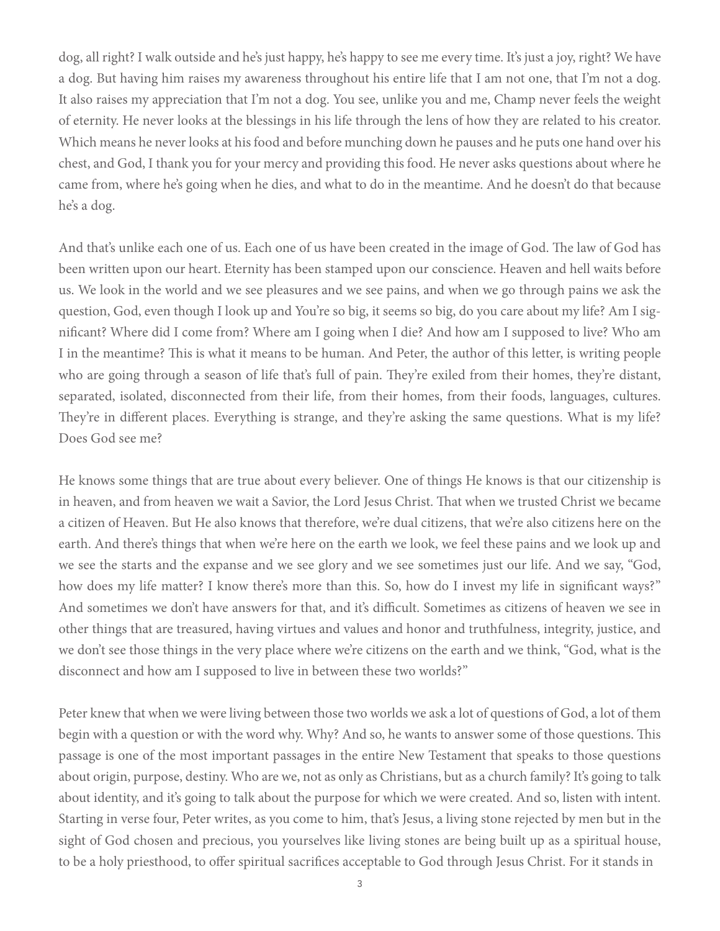dog, all right? I walk outside and he's just happy, he's happy to see me every time. It's just a joy, right? We have a dog. But having him raises my awareness throughout his entire life that I am not one, that I'm not a dog. It also raises my appreciation that I'm not a dog. You see, unlike you and me, Champ never feels the weight of eternity. He never looks at the blessings in his life through the lens of how they are related to his creator. Which means he never looks at his food and before munching down he pauses and he puts one hand over his chest, and God, I thank you for your mercy and providing this food. He never asks questions about where he came from, where he's going when he dies, and what to do in the meantime. And he doesn't do that because he's a dog.

And that's unlike each one of us. Each one of us have been created in the image of God. The law of God has been written upon our heart. Eternity has been stamped upon our conscience. Heaven and hell waits before us. We look in the world and we see pleasures and we see pains, and when we go through pains we ask the question, God, even though I look up and You're so big, it seems so big, do you care about my life? Am I significant? Where did I come from? Where am I going when I die? And how am I supposed to live? Who am I in the meantime? This is what it means to be human. And Peter, the author of this letter, is writing people who are going through a season of life that's full of pain. They're exiled from their homes, they're distant, separated, isolated, disconnected from their life, from their homes, from their foods, languages, cultures. They're in different places. Everything is strange, and they're asking the same questions. What is my life? Does God see me?

He knows some things that are true about every believer. One of things He knows is that our citizenship is in heaven, and from heaven we wait a Savior, the Lord Jesus Christ. That when we trusted Christ we became a citizen of Heaven. But He also knows that therefore, we're dual citizens, that we're also citizens here on the earth. And there's things that when we're here on the earth we look, we feel these pains and we look up and we see the starts and the expanse and we see glory and we see sometimes just our life. And we say, "God, how does my life matter? I know there's more than this. So, how do I invest my life in significant ways?" And sometimes we don't have answers for that, and it's difficult. Sometimes as citizens of heaven we see in other things that are treasured, having virtues and values and honor and truthfulness, integrity, justice, and we don't see those things in the very place where we're citizens on the earth and we think, "God, what is the disconnect and how am I supposed to live in between these two worlds?"

Peter knew that when we were living between those two worlds we ask a lot of questions of God, a lot of them begin with a question or with the word why. Why? And so, he wants to answer some of those questions. This passage is one of the most important passages in the entire New Testament that speaks to those questions about origin, purpose, destiny. Who are we, not as only as Christians, but as a church family? It's going to talk about identity, and it's going to talk about the purpose for which we were created. And so, listen with intent. Starting in verse four, Peter writes, as you come to him, that's Jesus, a living stone rejected by men but in the sight of God chosen and precious, you yourselves like living stones are being built up as a spiritual house, to be a holy priesthood, to offer spiritual sacrifices acceptable to God through Jesus Christ. For it stands in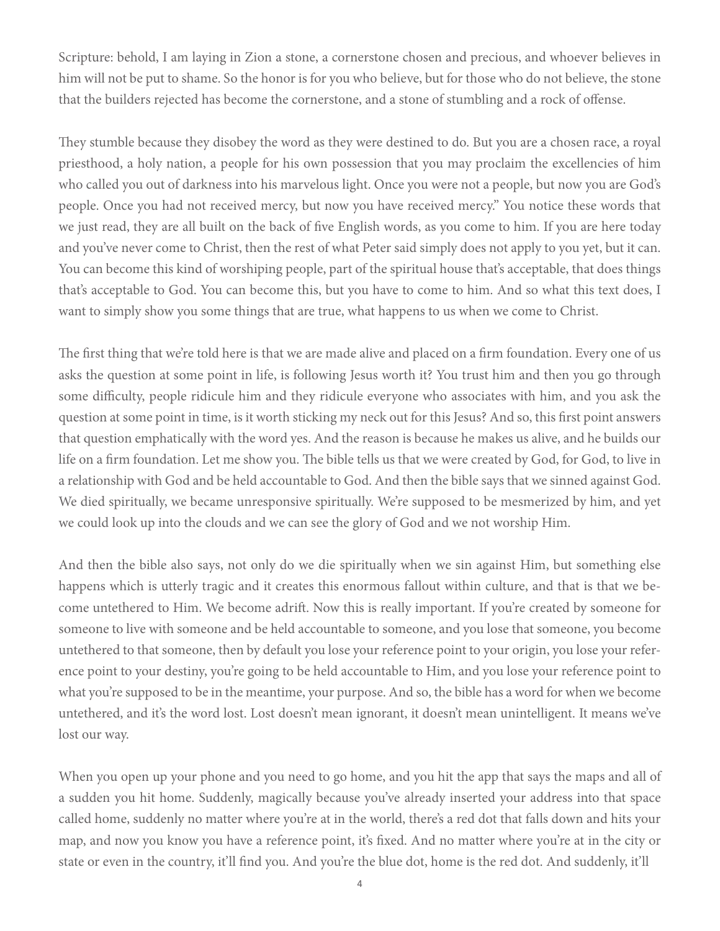Scripture: behold, I am laying in Zion a stone, a cornerstone chosen and precious, and whoever believes in him will not be put to shame. So the honor is for you who believe, but for those who do not believe, the stone that the builders rejected has become the cornerstone, and a stone of stumbling and a rock of offense.

They stumble because they disobey the word as they were destined to do. But you are a chosen race, a royal priesthood, a holy nation, a people for his own possession that you may proclaim the excellencies of him who called you out of darkness into his marvelous light. Once you were not a people, but now you are God's people. Once you had not received mercy, but now you have received mercy." You notice these words that we just read, they are all built on the back of five English words, as you come to him. If you are here today and you've never come to Christ, then the rest of what Peter said simply does not apply to you yet, but it can. You can become this kind of worshiping people, part of the spiritual house that's acceptable, that does things that's acceptable to God. You can become this, but you have to come to him. And so what this text does, I want to simply show you some things that are true, what happens to us when we come to Christ.

The first thing that we're told here is that we are made alive and placed on a firm foundation. Every one of us asks the question at some point in life, is following Jesus worth it? You trust him and then you go through some difficulty, people ridicule him and they ridicule everyone who associates with him, and you ask the question at some point in time, is it worth sticking my neck out for this Jesus? And so, this first point answers that question emphatically with the word yes. And the reason is because he makes us alive, and he builds our life on a firm foundation. Let me show you. The bible tells us that we were created by God, for God, to live in a relationship with God and be held accountable to God. And then the bible says that we sinned against God. We died spiritually, we became unresponsive spiritually. We're supposed to be mesmerized by him, and yet we could look up into the clouds and we can see the glory of God and we not worship Him.

And then the bible also says, not only do we die spiritually when we sin against Him, but something else happens which is utterly tragic and it creates this enormous fallout within culture, and that is that we become untethered to Him. We become adrift. Now this is really important. If you're created by someone for someone to live with someone and be held accountable to someone, and you lose that someone, you become untethered to that someone, then by default you lose your reference point to your origin, you lose your reference point to your destiny, you're going to be held accountable to Him, and you lose your reference point to what you're supposed to be in the meantime, your purpose. And so, the bible has a word for when we become untethered, and it's the word lost. Lost doesn't mean ignorant, it doesn't mean unintelligent. It means we've lost our way.

When you open up your phone and you need to go home, and you hit the app that says the maps and all of a sudden you hit home. Suddenly, magically because you've already inserted your address into that space called home, suddenly no matter where you're at in the world, there's a red dot that falls down and hits your map, and now you know you have a reference point, it's fixed. And no matter where you're at in the city or state or even in the country, it'll find you. And you're the blue dot, home is the red dot. And suddenly, it'll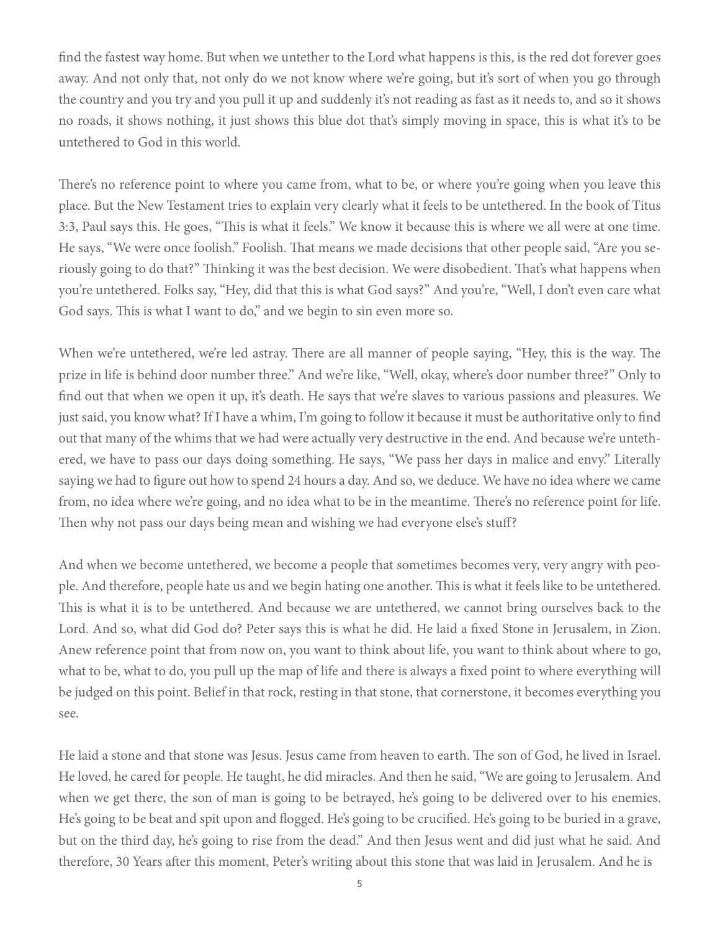find the fastest way home. But when we untether to the Lord what happens is this, is the red dot forever goes away. And not only that, not only do we not know where we're going, but it's sort of when you go through the country and you try and you pull it up and suddenly it's not reading as fast as it needs to, and so it shows no roads, it shows nothing, it just shows this blue dot that's simply moving in space, this is what it's to be untethered to God in this world.

There's no reference point to where you came from, what to be, or where you're going when you leave this place. But the New Testament tries to explain very clearly what it feels to be untethered. In the book of Titus 3:3, Paul says this. He goes, "This is what it feels." We know it because this is where we all were at one time. He says, "We were once foolish." Foolish. That means we made decisions that other people said, "Are you seriously going to do that?" Thinking it was the best decision. We were disobedient. That's what happens when you're untethered. Folks say, "Hey, did that this is what God says?" And you're, "Well, I don't even care what God says. This is what I want to do," and we begin to sin even more so.

When we're untethered, we're led astray. There are all manner of people saying, "Hey, this is the way. The prize in life is behind door number three." And we're like, "Well, okay, where's door number three?" Only to find out that when we open it up, it's death. He says that we're slaves to various passions and pleasures. We just said, you know what? If I have a whim, I'm going to follow it because it must be authoritative only to find out that many of the whims that we had were actually very destructive in the end. And because we're untethered, we have to pass our days doing something. He says, "We pass her days in malice and envy." Literally saying we had to figure out how to spend 24 hours a day. And so, we deduce. We have no idea where we came from, no idea where we're going, and no idea what to be in the meantime. There's no reference point for life. Then why not pass our days being mean and wishing we had everyone else's stuff?

And when we become untethered, we become a people that sometimes becomes very, very angry with people. And therefore, people hate us and we begin hating one another. This is what it feels like to be untethered. This is what it is to be untethered. And because we are untethered, we cannot bring ourselves back to the Lord. And so, what did God do? Peter says this is what he did. He laid a fixed Stone in Jerusalem, in Zion. Anew reference point that from now on, you want to think about life, you want to think about where to go, what to be, what to do, you pull up the map of life and there is always a fixed point to where everything will be judged on this point. Belief in that rock, resting in that stone, that cornerstone, it becomes everything you see.

He laid a stone and that stone was Jesus. Jesus came from heaven to earth. The son of God, he lived in Israel. He loved, he cared for people. He taught, he did miracles. And then he said, "We are going to Jerusalem. And when we get there, the son of man is going to be betrayed, he's going to be delivered over to his enemies. He's going to be beat and spit upon and flogged. He's going to be crucified. He's going to be buried in a grave, but on the third day, he's going to rise from the dead." And then Jesus went and did just what he said. And therefore, 30 Years after this moment, Peter's writing about this stone that was laid in Jerusalem. And he is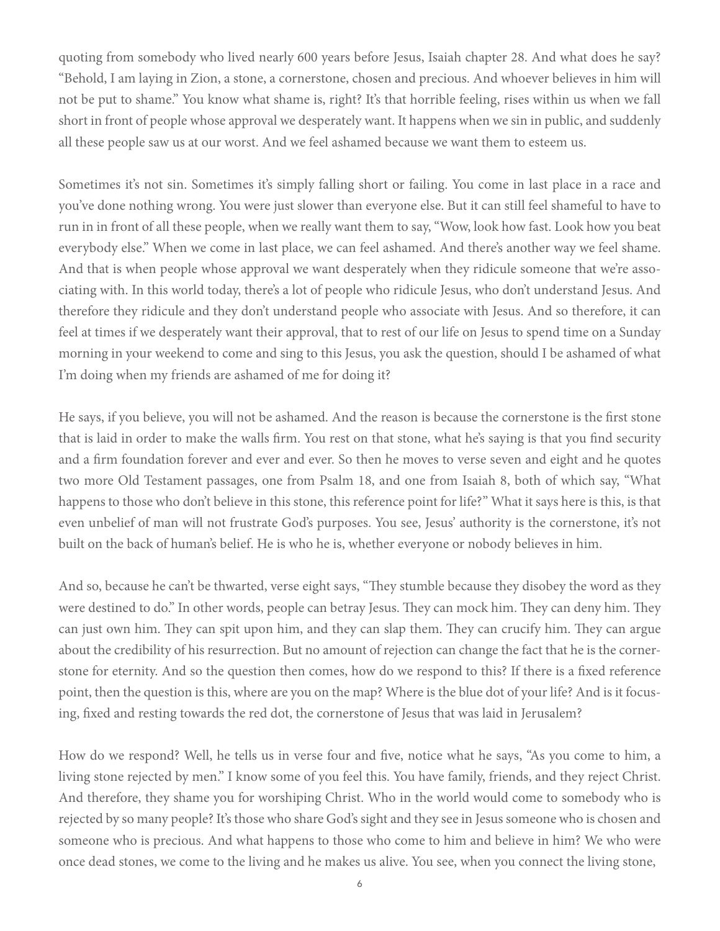quoting from somebody who lived nearly 600 years before Jesus, Isaiah chapter 28. And what does he say? "Behold, I am laying in Zion, a stone, a cornerstone, chosen and precious. And whoever believes in him will not be put to shame." You know what shame is, right? It's that horrible feeling, rises within us when we fall short in front of people whose approval we desperately want. It happens when we sin in public, and suddenly all these people saw us at our worst. And we feel ashamed because we want them to esteem us.

Sometimes it's not sin. Sometimes it's simply falling short or failing. You come in last place in a race and you've done nothing wrong. You were just slower than everyone else. But it can still feel shameful to have to run in in front of all these people, when we really want them to say, "Wow, look how fast. Look how you beat everybody else." When we come in last place, we can feel ashamed. And there's another way we feel shame. And that is when people whose approval we want desperately when they ridicule someone that we're associating with. In this world today, there's a lot of people who ridicule Jesus, who don't understand Jesus. And therefore they ridicule and they don't understand people who associate with Jesus. And so therefore, it can feel at times if we desperately want their approval, that to rest of our life on Jesus to spend time on a Sunday morning in your weekend to come and sing to this Jesus, you ask the question, should I be ashamed of what I'm doing when my friends are ashamed of me for doing it?

He says, if you believe, you will not be ashamed. And the reason is because the cornerstone is the first stone that is laid in order to make the walls firm. You rest on that stone, what he's saying is that you find security and a firm foundation forever and ever and ever. So then he moves to verse seven and eight and he quotes two more Old Testament passages, one from Psalm 18, and one from Isaiah 8, both of which say, "What happens to those who don't believe in this stone, this reference point for life?" What it says here is this, is that even unbelief of man will not frustrate God's purposes. You see, Jesus' authority is the cornerstone, it's not built on the back of human's belief. He is who he is, whether everyone or nobody believes in him.

And so, because he can't be thwarted, verse eight says, "They stumble because they disobey the word as they were destined to do." In other words, people can betray Jesus. They can mock him. They can deny him. They can just own him. They can spit upon him, and they can slap them. They can crucify him. They can argue about the credibility of his resurrection. But no amount of rejection can change the fact that he is the cornerstone for eternity. And so the question then comes, how do we respond to this? If there is a fixed reference point, then the question is this, where are you on the map? Where is the blue dot of your life? And is it focusing, fixed and resting towards the red dot, the cornerstone of Jesus that was laid in Jerusalem?

How do we respond? Well, he tells us in verse four and five, notice what he says, "As you come to him, a living stone rejected by men." I know some of you feel this. You have family, friends, and they reject Christ. And therefore, they shame you for worshiping Christ. Who in the world would come to somebody who is rejected by so many people? It's those who share God's sight and they see in Jesus someone who is chosen and someone who is precious. And what happens to those who come to him and believe in him? We who were once dead stones, we come to the living and he makes us alive. You see, when you connect the living stone,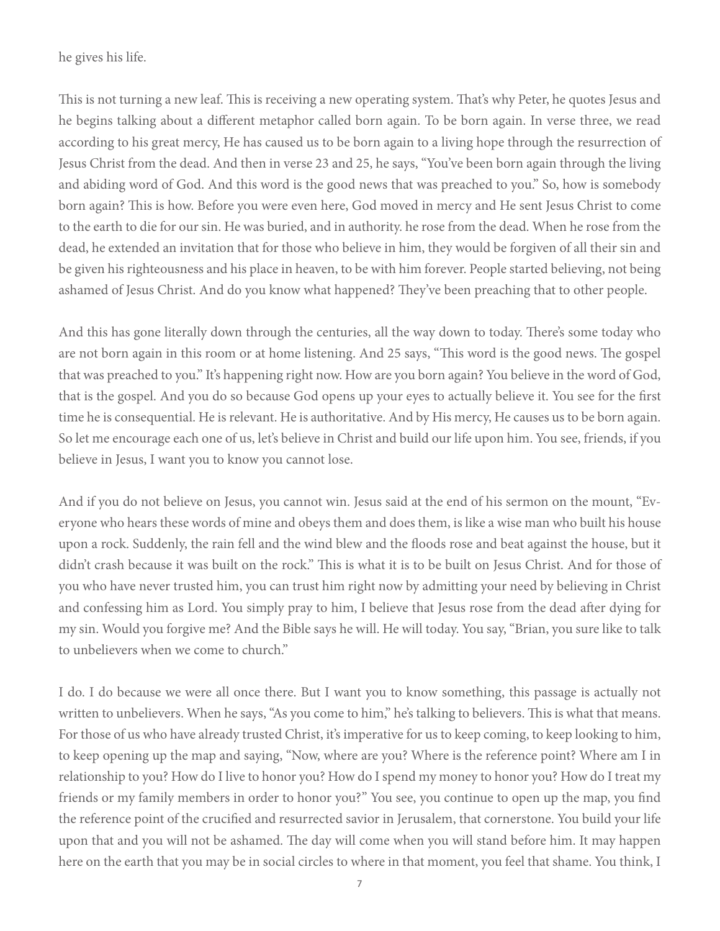he gives his life.

This is not turning a new leaf. This is receiving a new operating system. That's why Peter, he quotes Jesus and he begins talking about a different metaphor called born again. To be born again. In verse three, we read according to his great mercy, He has caused us to be born again to a living hope through the resurrection of Jesus Christ from the dead. And then in verse 23 and 25, he says, "You've been born again through the living and abiding word of God. And this word is the good news that was preached to you." So, how is somebody born again? This is how. Before you were even here, God moved in mercy and He sent Jesus Christ to come to the earth to die for our sin. He was buried, and in authority. he rose from the dead. When he rose from the dead, he extended an invitation that for those who believe in him, they would be forgiven of all their sin and be given his righteousness and his place in heaven, to be with him forever. People started believing, not being ashamed of Jesus Christ. And do you know what happened? They've been preaching that to other people.

And this has gone literally down through the centuries, all the way down to today. There's some today who are not born again in this room or at home listening. And 25 says, "This word is the good news. The gospel that was preached to you." It's happening right now. How are you born again? You believe in the word of God, that is the gospel. And you do so because God opens up your eyes to actually believe it. You see for the first time he is consequential. He is relevant. He is authoritative. And by His mercy, He causes us to be born again. So let me encourage each one of us, let's believe in Christ and build our life upon him. You see, friends, if you believe in Jesus, I want you to know you cannot lose.

And if you do not believe on Jesus, you cannot win. Jesus said at the end of his sermon on the mount, "Everyone who hears these words of mine and obeys them and does them, is like a wise man who built his house upon a rock. Suddenly, the rain fell and the wind blew and the floods rose and beat against the house, but it didn't crash because it was built on the rock." This is what it is to be built on Jesus Christ. And for those of you who have never trusted him, you can trust him right now by admitting your need by believing in Christ and confessing him as Lord. You simply pray to him, I believe that Jesus rose from the dead after dying for my sin. Would you forgive me? And the Bible says he will. He will today. You say, "Brian, you sure like to talk to unbelievers when we come to church."

I do. I do because we were all once there. But I want you to know something, this passage is actually not written to unbelievers. When he says, "As you come to him," he's talking to believers. This is what that means. For those of us who have already trusted Christ, it's imperative for us to keep coming, to keep looking to him, to keep opening up the map and saying, "Now, where are you? Where is the reference point? Where am I in relationship to you? How do I live to honor you? How do I spend my money to honor you? How do I treat my friends or my family members in order to honor you?" You see, you continue to open up the map, you find the reference point of the crucified and resurrected savior in Jerusalem, that cornerstone. You build your life upon that and you will not be ashamed. The day will come when you will stand before him. It may happen here on the earth that you may be in social circles to where in that moment, you feel that shame. You think, I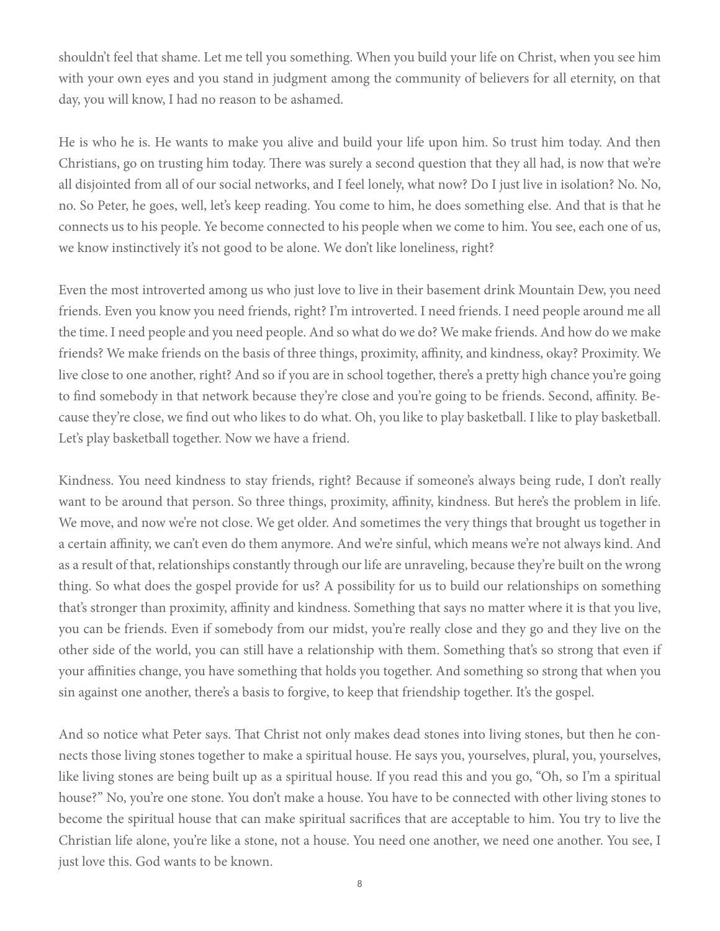shouldn't feel that shame. Let me tell you something. When you build your life on Christ, when you see him with your own eyes and you stand in judgment among the community of believers for all eternity, on that day, you will know, I had no reason to be ashamed.

He is who he is. He wants to make you alive and build your life upon him. So trust him today. And then Christians, go on trusting him today. There was surely a second question that they all had, is now that we're all disjointed from all of our social networks, and I feel lonely, what now? Do I just live in isolation? No. No, no. So Peter, he goes, well, let's keep reading. You come to him, he does something else. And that is that he connects us to his people. Ye become connected to his people when we come to him. You see, each one of us, we know instinctively it's not good to be alone. We don't like loneliness, right?

Even the most introverted among us who just love to live in their basement drink Mountain Dew, you need friends. Even you know you need friends, right? I'm introverted. I need friends. I need people around me all the time. I need people and you need people. And so what do we do? We make friends. And how do we make friends? We make friends on the basis of three things, proximity, affinity, and kindness, okay? Proximity. We live close to one another, right? And so if you are in school together, there's a pretty high chance you're going to find somebody in that network because they're close and you're going to be friends. Second, affinity. Because they're close, we find out who likes to do what. Oh, you like to play basketball. I like to play basketball. Let's play basketball together. Now we have a friend.

Kindness. You need kindness to stay friends, right? Because if someone's always being rude, I don't really want to be around that person. So three things, proximity, affinity, kindness. But here's the problem in life. We move, and now we're not close. We get older. And sometimes the very things that brought us together in a certain affinity, we can't even do them anymore. And we're sinful, which means we're not always kind. And as a result of that, relationships constantly through our life are unraveling, because they're built on the wrong thing. So what does the gospel provide for us? A possibility for us to build our relationships on something that's stronger than proximity, affinity and kindness. Something that says no matter where it is that you live, you can be friends. Even if somebody from our midst, you're really close and they go and they live on the other side of the world, you can still have a relationship with them. Something that's so strong that even if your affinities change, you have something that holds you together. And something so strong that when you sin against one another, there's a basis to forgive, to keep that friendship together. It's the gospel.

And so notice what Peter says. That Christ not only makes dead stones into living stones, but then he connects those living stones together to make a spiritual house. He says you, yourselves, plural, you, yourselves, like living stones are being built up as a spiritual house. If you read this and you go, "Oh, so I'm a spiritual house?" No, you're one stone. You don't make a house. You have to be connected with other living stones to become the spiritual house that can make spiritual sacrifices that are acceptable to him. You try to live the Christian life alone, you're like a stone, not a house. You need one another, we need one another. You see, I just love this. God wants to be known.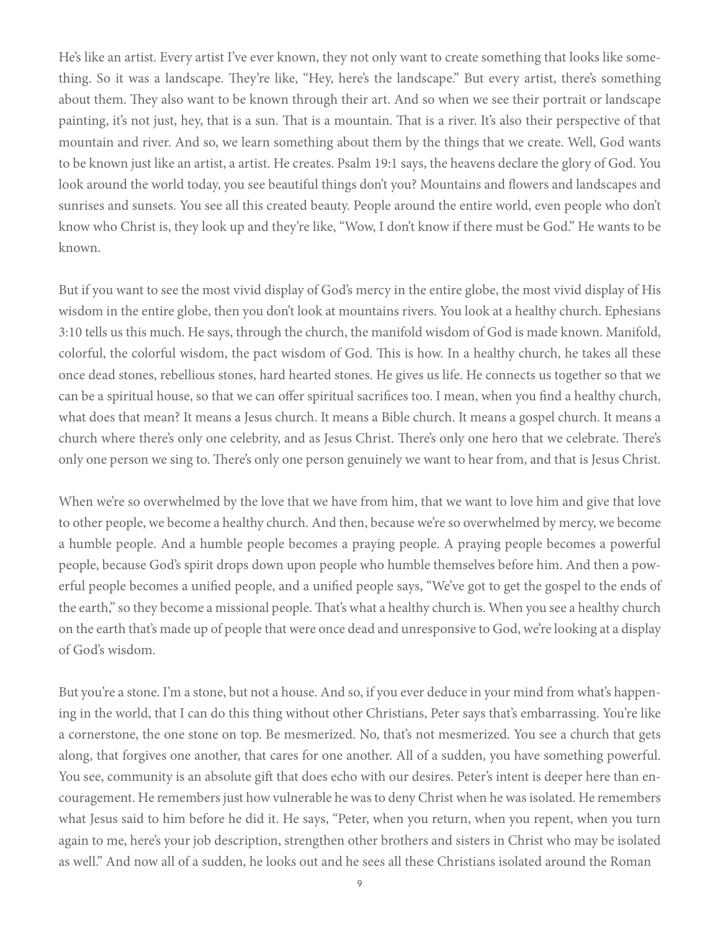He's like an artist. Every artist I've ever known, they not only want to create something that looks like something. So it was a landscape. They're like, "Hey, here's the landscape." But every artist, there's something about them. They also want to be known through their art. And so when we see their portrait or landscape painting, it's not just, hey, that is a sun. That is a mountain. That is a river. It's also their perspective of that mountain and river. And so, we learn something about them by the things that we create. Well, God wants to be known just like an artist, a artist. He creates. Psalm 19:1 says, the heavens declare the glory of God. You look around the world today, you see beautiful things don't you? Mountains and flowers and landscapes and sunrises and sunsets. You see all this created beauty. People around the entire world, even people who don't know who Christ is, they look up and they're like, "Wow, I don't know if there must be God." He wants to be known.

But if you want to see the most vivid display of God's mercy in the entire globe, the most vivid display of His wisdom in the entire globe, then you don't look at mountains rivers. You look at a healthy church. Ephesians 3:10 tells us this much. He says, through the church, the manifold wisdom of God is made known. Manifold, colorful, the colorful wisdom, the pact wisdom of God. This is how. In a healthy church, he takes all these once dead stones, rebellious stones, hard hearted stones. He gives us life. He connects us together so that we can be a spiritual house, so that we can offer spiritual sacrifices too. I mean, when you find a healthy church, what does that mean? It means a Jesus church. It means a Bible church. It means a gospel church. It means a church where there's only one celebrity, and as Jesus Christ. There's only one hero that we celebrate. There's only one person we sing to. There's only one person genuinely we want to hear from, and that is Jesus Christ.

When we're so overwhelmed by the love that we have from him, that we want to love him and give that love to other people, we become a healthy church. And then, because we're so overwhelmed by mercy, we become a humble people. And a humble people becomes a praying people. A praying people becomes a powerful people, because God's spirit drops down upon people who humble themselves before him. And then a powerful people becomes a unified people, and a unified people says, "We've got to get the gospel to the ends of the earth," so they become a missional people. That's what a healthy church is. When you see a healthy church on the earth that's made up of people that were once dead and unresponsive to God, we're looking at a display of God's wisdom.

But you're a stone. I'm a stone, but not a house. And so, if you ever deduce in your mind from what's happening in the world, that I can do this thing without other Christians, Peter says that's embarrassing. You're like a cornerstone, the one stone on top. Be mesmerized. No, that's not mesmerized. You see a church that gets along, that forgives one another, that cares for one another. All of a sudden, you have something powerful. You see, community is an absolute gift that does echo with our desires. Peter's intent is deeper here than encouragement. He remembers just how vulnerable he was to deny Christ when he was isolated. He remembers what Jesus said to him before he did it. He says, "Peter, when you return, when you repent, when you turn again to me, here's your job description, strengthen other brothers and sisters in Christ who may be isolated as well." And now all of a sudden, he looks out and he sees all these Christians isolated around the Roman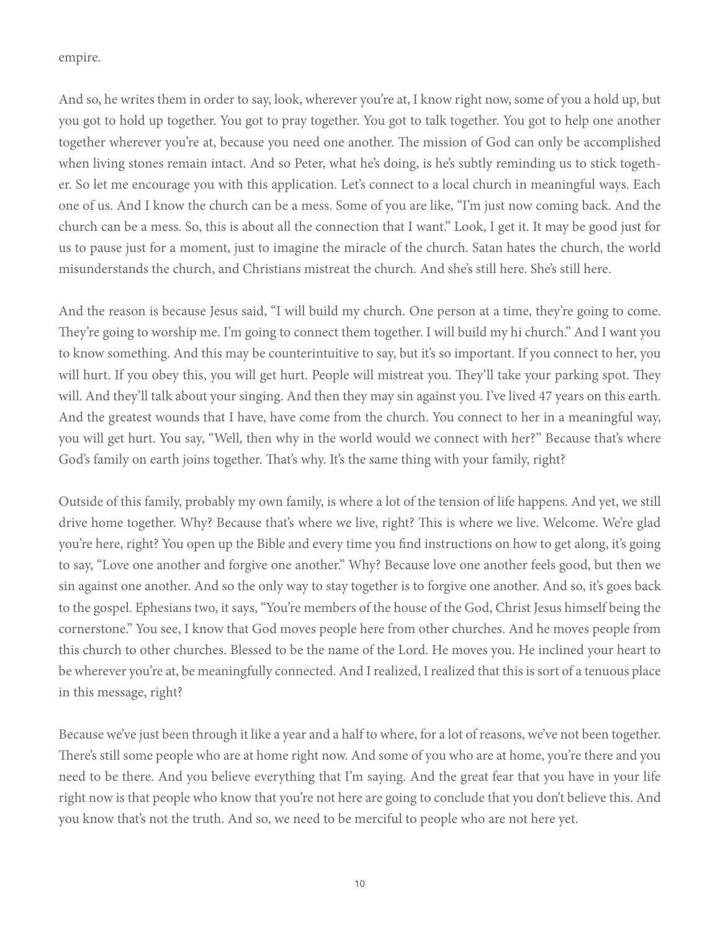empire.

And so, he writes them in order to say, look, wherever you're at, I know right now, some of you a hold up, but you got to hold up together. You got to pray together. You got to talk together. You got to help one another together wherever you're at, because you need one another. The mission of God can only be accomplished when living stones remain intact. And so Peter, what he's doing, is he's subtly reminding us to stick together. So let me encourage you with this application. Let's connect to a local church in meaningful ways. Each one of us. And I know the church can be a mess. Some of you are like, "I'm just now coming back. And the church can be a mess. So, this is about all the connection that I want." Look, I get it. It may be good just for us to pause just for a moment, just to imagine the miracle of the church. Satan hates the church, the world misunderstands the church, and Christians mistreat the church. And she's still here. She's still here.

And the reason is because Jesus said, "I will build my church. One person at a time, they're going to come. They're going to worship me. I'm going to connect them together. I will build my hi church." And I want you to know something. And this may be counterintuitive to say, but it's so important. If you connect to her, you will hurt. If you obey this, you will get hurt. People will mistreat you. They'll take your parking spot. They will. And they'll talk about your singing. And then they may sin against you. I've lived 47 years on this earth. And the greatest wounds that I have, have come from the church. You connect to her in a meaningful way, you will get hurt. You say, "Well, then why in the world would we connect with her?" Because that's where God's family on earth joins together. That's why. It's the same thing with your family, right?

Outside of this family, probably my own family, is where a lot of the tension of life happens. And yet, we still drive home together. Why? Because that's where we live, right? This is where we live. Welcome. We're glad you're here, right? You open up the Bible and every time you find instructions on how to get along, it's going to say, "Love one another and forgive one another." Why? Because love one another feels good, but then we sin against one another. And so the only way to stay together is to forgive one another. And so, it's goes back to the gospel. Ephesians two, it says, "You're members of the house of the God, Christ Jesus himself being the cornerstone." You see, I know that God moves people here from other churches. And he moves people from this church to other churches. Blessed to be the name of the Lord. He moves you. He inclined your heart to be wherever you're at, be meaningfully connected. And I realized, I realized that this is sort of a tenuous place in this message, right?

Because we've just been through it like a year and a half to where, for a lot of reasons, we've not been together. There's still some people who are at home right now. And some of you who are at home, you're there and you need to be there. And you believe everything that I'm saying. And the great fear that you have in your life right now is that people who know that you're not here are going to conclude that you don't believe this. And you know that's not the truth. And so, we need to be merciful to people who are not here yet.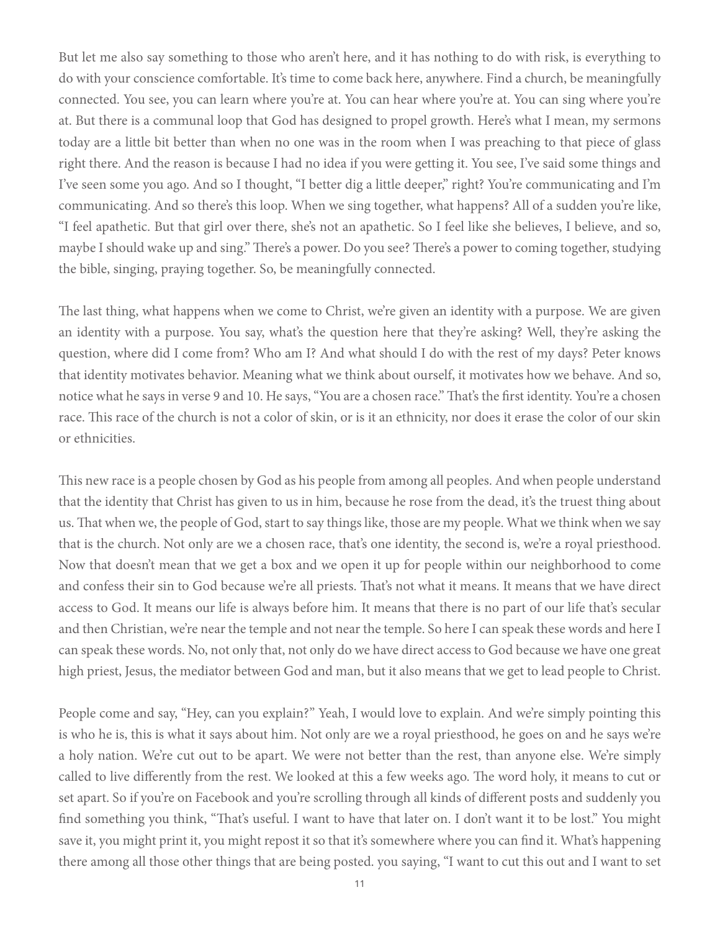But let me also say something to those who aren't here, and it has nothing to do with risk, is everything to do with your conscience comfortable. It's time to come back here, anywhere. Find a church, be meaningfully connected. You see, you can learn where you're at. You can hear where you're at. You can sing where you're at. But there is a communal loop that God has designed to propel growth. Here's what I mean, my sermons today are a little bit better than when no one was in the room when I was preaching to that piece of glass right there. And the reason is because I had no idea if you were getting it. You see, I've said some things and I've seen some you ago. And so I thought, "I better dig a little deeper," right? You're communicating and I'm communicating. And so there's this loop. When we sing together, what happens? All of a sudden you're like, "I feel apathetic. But that girl over there, she's not an apathetic. So I feel like she believes, I believe, and so, maybe I should wake up and sing." There's a power. Do you see? There's a power to coming together, studying the bible, singing, praying together. So, be meaningfully connected.

The last thing, what happens when we come to Christ, we're given an identity with a purpose. We are given an identity with a purpose. You say, what's the question here that they're asking? Well, they're asking the question, where did I come from? Who am I? And what should I do with the rest of my days? Peter knows that identity motivates behavior. Meaning what we think about ourself, it motivates how we behave. And so, notice what he says in verse 9 and 10. He says, "You are a chosen race." That's the first identity. You're a chosen race. This race of the church is not a color of skin, or is it an ethnicity, nor does it erase the color of our skin or ethnicities.

This new race is a people chosen by God as his people from among all peoples. And when people understand that the identity that Christ has given to us in him, because he rose from the dead, it's the truest thing about us. That when we, the people of God, start to say things like, those are my people. What we think when we say that is the church. Not only are we a chosen race, that's one identity, the second is, we're a royal priesthood. Now that doesn't mean that we get a box and we open it up for people within our neighborhood to come and confess their sin to God because we're all priests. That's not what it means. It means that we have direct access to God. It means our life is always before him. It means that there is no part of our life that's secular and then Christian, we're near the temple and not near the temple. So here I can speak these words and here I can speak these words. No, not only that, not only do we have direct access to God because we have one great high priest, Jesus, the mediator between God and man, but it also means that we get to lead people to Christ.

People come and say, "Hey, can you explain?" Yeah, I would love to explain. And we're simply pointing this is who he is, this is what it says about him. Not only are we a royal priesthood, he goes on and he says we're a holy nation. We're cut out to be apart. We were not better than the rest, than anyone else. We're simply called to live differently from the rest. We looked at this a few weeks ago. The word holy, it means to cut or set apart. So if you're on Facebook and you're scrolling through all kinds of different posts and suddenly you find something you think, "That's useful. I want to have that later on. I don't want it to be lost." You might save it, you might print it, you might repost it so that it's somewhere where you can find it. What's happening there among all those other things that are being posted. you saying, "I want to cut this out and I want to set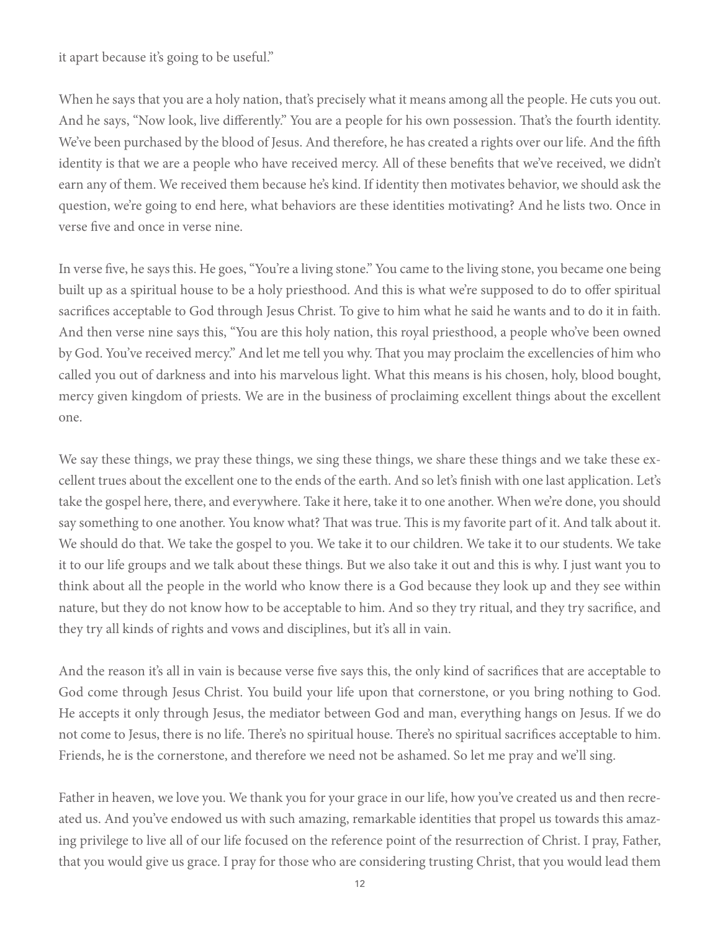it apart because it's going to be useful."

When he says that you are a holy nation, that's precisely what it means among all the people. He cuts you out. And he says, "Now look, live differently." You are a people for his own possession. That's the fourth identity. We've been purchased by the blood of Jesus. And therefore, he has created a rights over our life. And the fifth identity is that we are a people who have received mercy. All of these benefits that we've received, we didn't earn any of them. We received them because he's kind. If identity then motivates behavior, we should ask the question, we're going to end here, what behaviors are these identities motivating? And he lists two. Once in verse five and once in verse nine.

In verse five, he says this. He goes, "You're a living stone." You came to the living stone, you became one being built up as a spiritual house to be a holy priesthood. And this is what we're supposed to do to offer spiritual sacrifices acceptable to God through Jesus Christ. To give to him what he said he wants and to do it in faith. And then verse nine says this, "You are this holy nation, this royal priesthood, a people who've been owned by God. You've received mercy." And let me tell you why. That you may proclaim the excellencies of him who called you out of darkness and into his marvelous light. What this means is his chosen, holy, blood bought, mercy given kingdom of priests. We are in the business of proclaiming excellent things about the excellent one.

We say these things, we pray these things, we sing these things, we share these things and we take these excellent trues about the excellent one to the ends of the earth. And so let's finish with one last application. Let's take the gospel here, there, and everywhere. Take it here, take it to one another. When we're done, you should say something to one another. You know what? That was true. This is my favorite part of it. And talk about it. We should do that. We take the gospel to you. We take it to our children. We take it to our students. We take it to our life groups and we talk about these things. But we also take it out and this is why. I just want you to think about all the people in the world who know there is a God because they look up and they see within nature, but they do not know how to be acceptable to him. And so they try ritual, and they try sacrifice, and they try all kinds of rights and vows and disciplines, but it's all in vain.

And the reason it's all in vain is because verse five says this, the only kind of sacrifices that are acceptable to God come through Jesus Christ. You build your life upon that cornerstone, or you bring nothing to God. He accepts it only through Jesus, the mediator between God and man, everything hangs on Jesus. If we do not come to Jesus, there is no life. There's no spiritual house. There's no spiritual sacrifices acceptable to him. Friends, he is the cornerstone, and therefore we need not be ashamed. So let me pray and we'll sing.

Father in heaven, we love you. We thank you for your grace in our life, how you've created us and then recreated us. And you've endowed us with such amazing, remarkable identities that propel us towards this amazing privilege to live all of our life focused on the reference point of the resurrection of Christ. I pray, Father, that you would give us grace. I pray for those who are considering trusting Christ, that you would lead them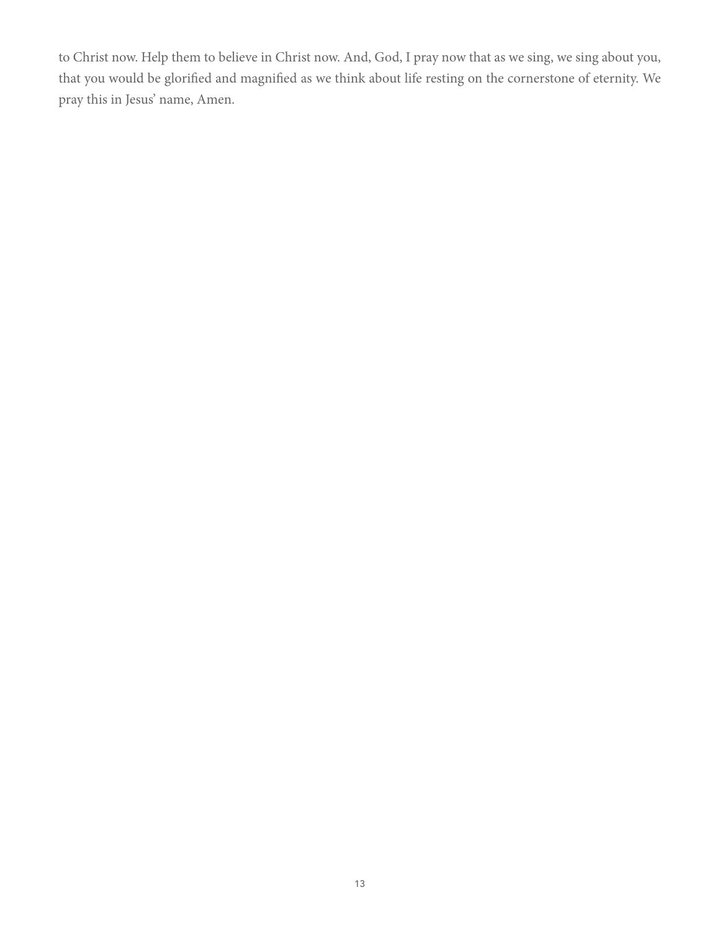to Christ now. Help them to believe in Christ now. And, God, I pray now that as we sing, we sing about you, that you would be glorified and magnified as we think about life resting on the cornerstone of eternity. We pray this in Jesus' name, Amen.